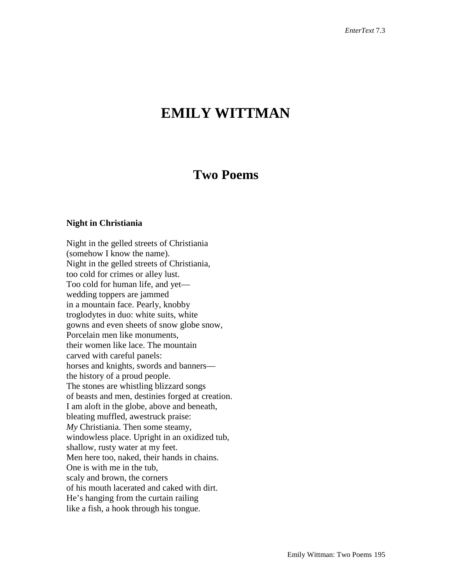## **EMILY WITTMAN**

## **Two Poems**

## **Night in Christiania**

Night in the gelled streets of Christiania (somehow I know the name). Night in the gelled streets of Christiania, too cold for crimes or alley lust. Too cold for human life, and yet wedding toppers are jammed in a mountain face. Pearly, knobby troglodytes in duo: white suits, white gowns and even sheets of snow globe snow, Porcelain men like monuments, their women like lace. The mountain carved with careful panels: horses and knights, swords and banners the history of a proud people. The stones are whistling blizzard songs of beasts and men, destinies forged at creation. I am aloft in the globe, above and beneath, bleating muffled, awestruck praise: *My* Christiania. Then some steamy, windowless place. Upright in an oxidized tub, shallow, rusty water at my feet. Men here too, naked, their hands in chains. One is with me in the tub, scaly and brown, the corners of his mouth lacerated and caked with dirt. He's hanging from the curtain railing like a fish, a hook through his tongue.